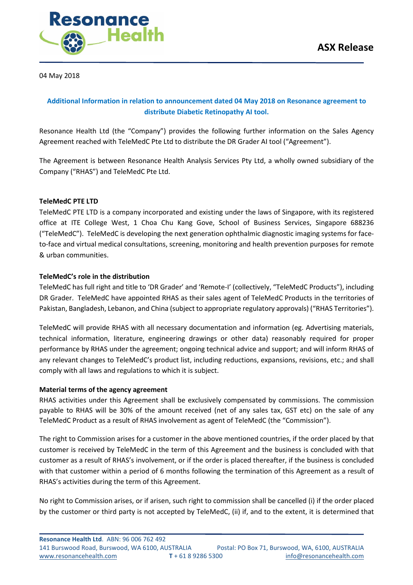

04 May 2018

# Additional Information in relation to announcement dated 04 May 2018 on Resonance agreement to distribute Diabetic Retinopathy AI tool.

Resonance Health Ltd (the "Company") provides the following further information on the Sales Agency Agreement reached with TeleMedC Pte Ltd to distribute the DR Grader AI tool ("Agreement").

The Agreement is between Resonance Health Analysis Services Pty Ltd, a wholly owned subsidiary of the Company ("RHAS") and TeleMedC Pte Ltd.

### TeleMedC PTE LTD

TeleMedC PTE LTD is a company incorporated and existing under the laws of Singapore, with its registered office at ITE College West, 1 Choa Chu Kang Gove, School of Business Services, Singapore 688236 ("TeleMedC"). TeleMedC is developing the next generation ophthalmic diagnostic imaging systems for faceto-face and virtual medical consultations, screening, monitoring and health prevention purposes for remote & urban communities.

### TeleMedC's role in the distribution

TeleMedC has full right and title to 'DR Grader' and 'Remote-I' (collectively, "TeleMedC Products"), including DR Grader. TeleMedC have appointed RHAS as their sales agent of TeleMedC Products in the territories of Pakistan, Bangladesh, Lebanon, and China (subject to appropriate regulatory approvals) ("RHAS Territories").

TeleMedC will provide RHAS with all necessary documentation and information (eg. Advertising materials, technical information, literature, engineering drawings or other data) reasonably required for proper performance by RHAS under the agreement; ongoing technical advice and support; and will inform RHAS of any relevant changes to TeleMedC's product list, including reductions, expansions, revisions, etc.; and shall comply with all laws and regulations to which it is subject.

#### Material terms of the agency agreement

RHAS activities under this Agreement shall be exclusively compensated by commissions. The commission payable to RHAS will be 30% of the amount received (net of any sales tax, GST etc) on the sale of any TeleMedC Product as a result of RHAS involvement as agent of TeleMedC (the "Commission").

The right to Commission arises for a customer in the above mentioned countries, if the order placed by that customer is received by TeleMedC in the term of this Agreement and the business is concluded with that customer as a result of RHAS's involvement, or if the order is placed thereafter, if the business is concluded with that customer within a period of 6 months following the termination of this Agreement as a result of RHAS's activities during the term of this Agreement.

No right to Commission arises, or if arisen, such right to commission shall be cancelled (i) if the order placed by the customer or third party is not accepted by TeleMedC, (ii) if, and to the extent, it is determined that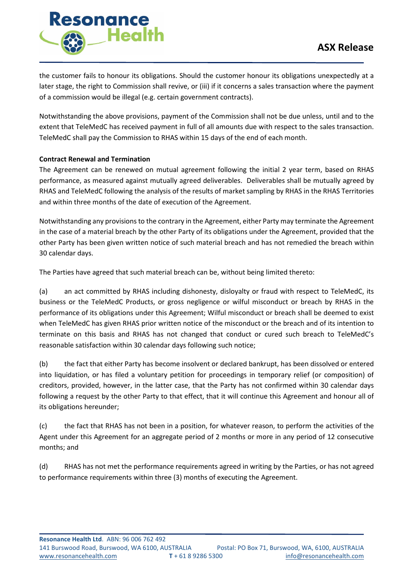

the customer fails to honour its obligations. Should the customer honour its obligations unexpectedly at a later stage, the right to Commission shall revive, or (iii) if it concerns a sales transaction where the payment of a commission would be illegal (e.g. certain government contracts).

Notwithstanding the above provisions, payment of the Commission shall not be due unless, until and to the extent that TeleMedC has received payment in full of all amounts due with respect to the sales transaction. TeleMedC shall pay the Commission to RHAS within 15 days of the end of each month.

# Contract Renewal and Termination

The Agreement can be renewed on mutual agreement following the initial 2 year term, based on RHAS performance, as measured against mutually agreed deliverables. Deliverables shall be mutually agreed by RHAS and TeleMedC following the analysis of the results of market sampling by RHAS in the RHAS Territories and within three months of the date of execution of the Agreement.

Notwithstanding any provisions to the contrary in the Agreement, either Party may terminate the Agreement in the case of a material breach by the other Party of its obligations under the Agreement, provided that the other Party has been given written notice of such material breach and has not remedied the breach within 30 calendar days.

The Parties have agreed that such material breach can be, without being limited thereto:

(a) an act committed by RHAS including dishonesty, disloyalty or fraud with respect to TeleMedC, its business or the TeleMedC Products, or gross negligence or wilful misconduct or breach by RHAS in the performance of its obligations under this Agreement; Wilful misconduct or breach shall be deemed to exist when TeleMedC has given RHAS prior written notice of the misconduct or the breach and of its intention to terminate on this basis and RHAS has not changed that conduct or cured such breach to TeleMedC's reasonable satisfaction within 30 calendar days following such notice;

(b) the fact that either Party has become insolvent or declared bankrupt, has been dissolved or entered into liquidation, or has filed a voluntary petition for proceedings in temporary relief (or composition) of creditors, provided, however, in the latter case, that the Party has not confirmed within 30 calendar days following a request by the other Party to that effect, that it will continue this Agreement and honour all of its obligations hereunder;

(c) the fact that RHAS has not been in a position, for whatever reason, to perform the activities of the Agent under this Agreement for an aggregate period of 2 months or more in any period of 12 consecutive months; and

(d) RHAS has not met the performance requirements agreed in writing by the Parties, or has not agreed to performance requirements within three (3) months of executing the Agreement.